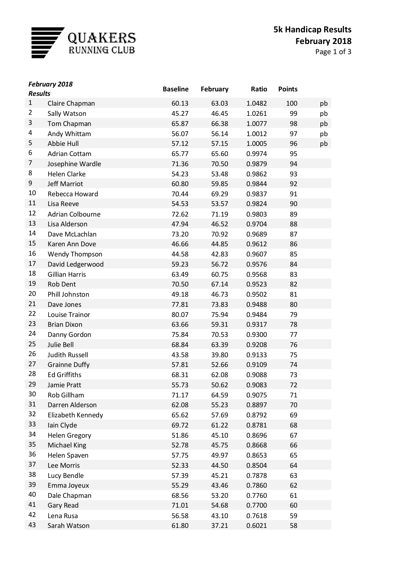

| Page 1 of 3 |  |  |  |
|-------------|--|--|--|
|-------------|--|--|--|

| <b>Results</b> | <b>February 2018</b>  | <b>Baseline</b> | February | Ratio  | <b>Points</b> |    |
|----------------|-----------------------|-----------------|----------|--------|---------------|----|
| $\mathbf{1}$   | Claire Chapman        | 60.13           | 63.03    | 1.0482 | 100           | pb |
| $\overline{2}$ | Sally Watson          | 45.27           | 46.45    | 1.0261 | 99            | pb |
| 3              | Tom Chapman           | 65.87           | 66.38    | 1.0077 | 98            | pb |
| 4              | Andy Whittam          | 56.07           | 56.14    | 1.0012 | 97            | pb |
| 5              | Abbie Hull            | 57.12           | 57.15    | 1.0005 | 96            | pb |
| 6              | <b>Adrian Cottam</b>  | 65.77           | 65.60    | 0.9974 | 95            |    |
| 7              | Josephine Wardle      | 71.36           | 70.50    | 0.9879 | 94            |    |
| 8              | <b>Helen Clarke</b>   | 54.23           | 53.48    | 0.9862 | 93            |    |
| 9              | Jeff Marriot          | 60.80           | 59.85    | 0.9844 | 92            |    |
| 10             | Rebecca Howard        | 70.44           | 69.29    | 0.9837 | 91            |    |
| 11             | Lisa Reeve            | 54.53           | 53.57    | 0.9824 | 90            |    |
| 12             | Adrian Colbourne      | 72.62           | 71.19    | 0.9803 | 89            |    |
| 13             | Lisa Alderson         | 47.94           | 46.52    | 0.9704 | 88            |    |
| 14             | Dave McLachlan        | 73.20           | 70.92    | 0.9689 | 87            |    |
| 15             | Karen Ann Dove        | 46.66           | 44.85    | 0.9612 | 86            |    |
| 16             | Wendy Thompson        | 44.58           | 42.83    | 0.9607 | 85            |    |
| 17             | David Ledgerwood      | 59.23           | 56.72    | 0.9576 | 84            |    |
| 18             | <b>Gillian Harris</b> | 63.49           | 60.75    | 0.9568 | 83            |    |
| 19             | Rob Dent              | 70.50           | 67.14    | 0.9523 | 82            |    |
| 20             | Phill Johnston        | 49.18           | 46.73    | 0.9502 | 81            |    |
| 21             | Dave Jones            | 77.81           | 73.83    | 0.9488 | 80            |    |
| 22             | Louise Trainor        | 80.07           | 75.94    | 0.9484 | 79            |    |
| 23             | <b>Brian Dixon</b>    | 63.66           | 59.31    | 0.9317 | 78            |    |
| 24             | Danny Gordon          | 75.84           | 70.53    | 0.9300 | 77            |    |
| 25             | Julie Bell            | 68.84           | 63.39    | 0.9208 | 76            |    |
| 26             | Judith Russell        | 43.58           | 39.80    | 0.9133 | 75            |    |
| 27             | <b>Grainne Duffy</b>  | 57.81           | 52.66    | 0.9109 | 74            |    |
| 28             | <b>Ed Griffiths</b>   | 68.31           | 62.08    | 0.9088 | 73            |    |
| 29             | Jamie Pratt           | 55.73           | 50.62    | 0.9083 | 72            |    |
| 30             | Rob Gillham           | 71.17           | 64.59    | 0.9075 | 71            |    |
| 31             | Darren Alderson       | 62.08           | 55.23    | 0.8897 | 70            |    |
| 32             | Elizabeth Kennedy     | 65.62           | 57.69    | 0.8792 | 69            |    |
| 33             | lain Clyde            | 69.72           | 61.22    | 0.8781 | 68            |    |
| 34             | <b>Helen Gregory</b>  | 51.86           | 45.10    | 0.8696 | 67            |    |
| 35             | <b>Michael King</b>   | 52.78           | 45.75    | 0.8668 | 66            |    |
| 36             | Helen Spaven          | 57.75           | 49.97    | 0.8653 | 65            |    |
| 37             | Lee Morris            | 52.33           | 44.50    | 0.8504 | 64            |    |
| 38             | Lucy Bendle           | 57.39           | 45.21    | 0.7878 | 63            |    |
| 39             | Emma Joyeux           | 55.29           | 43.46    | 0.7860 | 62            |    |
| 40             | Dale Chapman          | 68.56           | 53.20    | 0.7760 | 61            |    |
| 41             | Gary Read             | 71.01           | 54.68    | 0.7700 | 60            |    |
| 42             | Lena Rusa             | 56.58           | 43.10    | 0.7618 | 59            |    |
| 43             | Sarah Watson          | 61.80           | 37.21    | 0.6021 | 58            |    |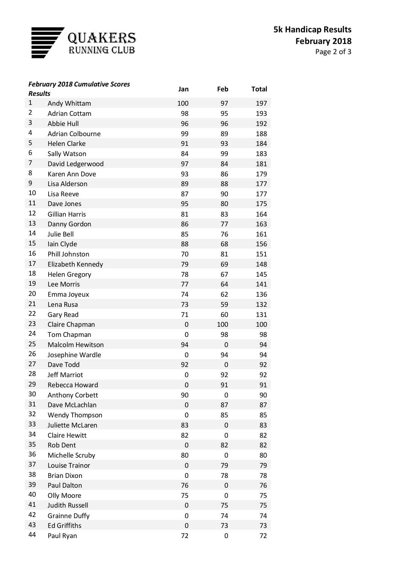

Page 2 of 3

| <b>Results</b> | <b>February 2018 Cumulative Scores</b> | Jan         | Feb         | <b>Total</b> |
|----------------|----------------------------------------|-------------|-------------|--------------|
| $\mathbf{1}$   | Andy Whittam                           | 100         | 97          | 197          |
| 2              | <b>Adrian Cottam</b>                   | 98          | 95          | 193          |
| 3              | Abbie Hull                             | 96          | 96          | 192          |
| 4              | <b>Adrian Colbourne</b>                | 99          | 89          | 188          |
| 5              | <b>Helen Clarke</b>                    | 91          | 93          | 184          |
| 6              | Sally Watson                           | 84          | 99          | 183          |
| 7              | David Ledgerwood                       | 97          | 84          | 181          |
| 8              | Karen Ann Dove                         | 93          | 86          | 179          |
| 9              | Lisa Alderson                          | 89          | 88          | 177          |
| 10             | Lisa Reeve                             | 87          | 90          | 177          |
| 11             | Dave Jones                             | 95          | 80          | 175          |
| 12             | <b>Gillian Harris</b>                  | 81          | 83          | 164          |
| 13             | Danny Gordon                           | 86          | 77          | 163          |
| 14             | Julie Bell                             | 85          | 76          | 161          |
| 15             | lain Clyde                             | 88          | 68          | 156          |
| 16             | Phill Johnston                         | 70          | 81          | 151          |
| 17             | Elizabeth Kennedy                      | 79          | 69          | 148          |
| 18             | <b>Helen Gregory</b>                   | 78          | 67          | 145          |
| 19             | Lee Morris                             | 77          | 64          | 141          |
| 20             | Emma Joyeux                            | 74          | 62          | 136          |
| 21             | Lena Rusa                              | 73          | 59          | 132          |
| 22             | Gary Read                              | 71          | 60          | 131          |
| 23             | Claire Chapman                         | 0           | 100         | 100          |
| 24             | Tom Chapman                            | 0           | 98          | 98           |
| 25             | <b>Malcolm Hewitson</b>                | 94          | 0           | 94           |
| 26             | Josephine Wardle                       | 0           | 94          | 94           |
| 27             | Dave Todd                              | 92          | 0           | 92           |
| 28             | <b>Jeff Marriot</b>                    | 0           | 92          | 92           |
| 29             | Rebecca Howard                         | 0           | 91          | 91           |
| 30             | Anthony Corbett                        | 90          | 0           | 90           |
| 31             | Dave McLachlan                         | 0           | 87          | 87           |
| 32             | <b>Wendy Thompson</b>                  | $\mathbf 0$ | 85          | 85           |
| 33             | Juliette McLaren                       | 83          | 0           | 83           |
| 34             | <b>Claire Hewitt</b>                   | 82          | 0           | 82           |
| 35             | <b>Rob Dent</b>                        | 0           | 82          | 82           |
| 36             | Michelle Scruby                        | 80          | 0           | 80           |
| 37             | Louise Trainor                         | 0           | 79          | 79           |
| 38             | <b>Brian Dixon</b>                     | 0           | 78          | 78           |
| 39             | Paul Dalton                            | 76          | $\mathbf 0$ | 76           |
| 40             | Olly Moore                             | 75          | 0           | 75           |
| 41             | <b>Judith Russell</b>                  | 0           | 75          | 75           |
| 42             | <b>Grainne Duffy</b>                   | 0           | 74          | 74           |
| 43             | <b>Ed Griffiths</b>                    | 0           | 73          | 73           |
| 44             | Paul Ryan                              | 72          | 0           | 72           |